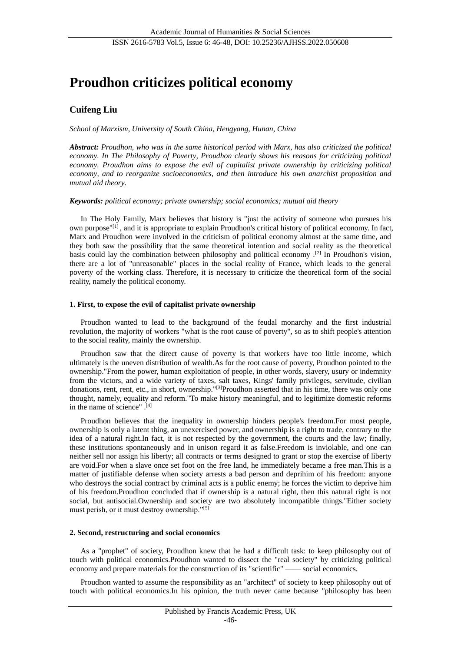# **Proudhon criticizes political economy**

# **Cuifeng Liu**

*School of Marxism, University of South China, Hengyang, Hunan, China*

*Abstract: Proudhon, who was in the same historical period with Marx, has also criticized the political economy. In The Philosophy of Poverty, Proudhon clearly shows his reasons for criticizing political economy. Proudhon aims to expose the evil of capitalist private ownership by criticizing political economy, and to reorganize socioeconomics, and then introduce his own anarchist proposition and mutual aid theory.*

## *Keywords: political economy; private ownership; social economics; mutual aid theory*

In The Holy Family, Marx believes that history is "just the activity of someone who pursues his own purpose"[1] , and it is appropriate to explain Proudhon's critical history of political economy. In fact, Marx and Proudhon were involved in the criticism of political economy almost at the same time, and they both saw the possibility that the same theoretical intention and social reality as the theoretical basis could lay the combination between philosophy and political economy .[2] In Proudhon's vision, there are a lot of "unreasonable" places in the social reality of France, which leads to the general poverty of the working class. Therefore, it is necessary to criticize the theoretical form of the social reality, namely the political economy.

## **1. First, to expose the evil of capitalist private ownership**

Proudhon wanted to lead to the background of the feudal monarchy and the first industrial revolution, the majority of workers "what is the root cause of poverty", so as to shift people's attention to the social reality, mainly the ownership.

Proudhon saw that the direct cause of poverty is that workers have too little income, which ultimately is the uneven distribution of wealth.As for the root cause of poverty, Proudhon pointed to the ownership."From the power, human exploitation of people, in other words, slavery, usury or indemnity from the victors, and a wide variety of taxes, salt taxes, Kings' family privileges, servitude, civilian donations, rent, rent, etc., in short, ownership."<sup>[3]</sup>Proudhon asserted that in his time, there was only one thought, namely, equality and reform."To make history meaningful, and to legitimize domestic reforms in the name of science" .[4]

Proudhon believes that the inequality in ownership hinders people's freedom.For most people, ownership is only a latent thing, an unexercised power, and ownership is a right to trade, contrary to the idea of a natural right.In fact, it is not respected by the government, the courts and the law; finally, these institutions spontaneously and in unison regard it as false.Freedom is inviolable, and one can neither sell nor assign his liberty; all contracts or terms designed to grant or stop the exercise of liberty are void.For when a slave once set foot on the free land, he immediately became a free man.This is a matter of justifiable defense when society arrests a bad person and deprihim of his freedom: anyone who destroys the social contract by criminal acts is a public enemy; he forces the victim to deprive him of his freedom.Proudhon concluded that if ownership is a natural right, then this natural right is not social, but antisocial.Ownership and society are two absolutely incompatible things."Either society must perish, or it must destroy ownership."[5]

## **2. Second, restructuring and social economics**

As a "prophet" of society, Proudhon knew that he had a difficult task: to keep philosophy out of touch with political economics.Proudhon wanted to dissect the "real society" by criticizing political economy and prepare materials for the construction of its "scientific" —— social economics.

Proudhon wanted to assume the responsibility as an "architect" of society to keep philosophy out of touch with political economics.In his opinion, the truth never came because "philosophy has been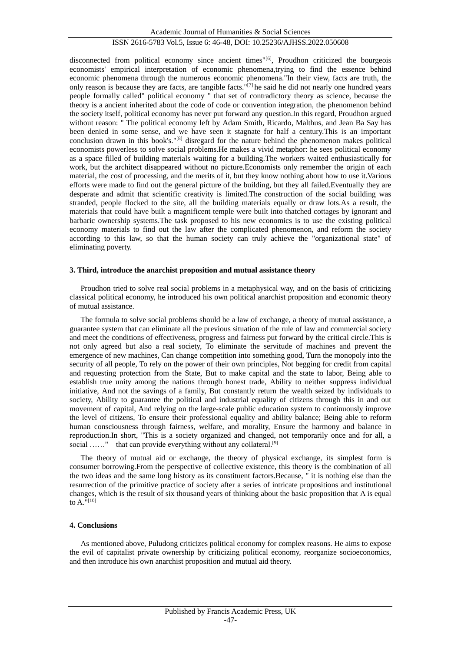# ISSN 2616-5783 Vol.5, Issue 6: 46-48, DOI: 10.25236/AJHSS.2022.050608

disconnected from political economy since ancient times"<sup>[6]</sup>, Proudhon criticized the bourgeois economists' empirical interpretation of economic phenomena,trying to find the essence behind economic phenomena through the numerous economic phenomena."In their view, facts are truth, the only reason is because they are facts, are tangible facts."[7] he said he did not nearly one hundred years people formally called" political economy " that set of contradictory theory as science, because the theory is a ancient inherited about the code of code or convention integration, the phenomenon behind the society itself, political economy has never put forward any question.In this regard, Proudhon argued without reason: " The political economy left by Adam Smith, Ricardo, Malthus, and Jean Ba Say has been denied in some sense, and we have seen it stagnate for half a century.This is an important conclusion drawn in this book's."[8] disregard for the nature behind the phenomenon makes political economists powerless to solve social problems.He makes a vivid metaphor: he sees political economy as a space filled of building materials waiting for a building.The workers waited enthusiastically for work, but the architect disappeared without no picture.Economists only remember the origin of each material, the cost of processing, and the merits of it, but they know nothing about how to use it.Various efforts were made to find out the general picture of the building, but they all failed.Eventually they are desperate and admit that scientific creativity is limited.The construction of the social building was stranded, people flocked to the site, all the building materials equally or draw lots.As a result, the materials that could have built a magnificent temple were built into thatched cottages by ignorant and barbaric ownership systems.The task proposed to his new economics is to use the existing political economy materials to find out the law after the complicated phenomenon, and reform the society according to this law, so that the human society can truly achieve the "organizational state" of eliminating poverty.

#### **3. Third, introduce the anarchist proposition and mutual assistance theory**

Proudhon tried to solve real social problems in a metaphysical way, and on the basis of criticizing classical political economy, he introduced his own political anarchist proposition and economic theory of mutual assistance.

The formula to solve social problems should be a law of exchange, a theory of mutual assistance, a guarantee system that can eliminate all the previous situation of the rule of law and commercial society and meet the conditions of effectiveness, progress and fairness put forward by the critical circle.This is not only agreed but also a real society, To eliminate the servitude of machines and prevent the emergence of new machines, Can change competition into something good, Turn the monopoly into the security of all people, To rely on the power of their own principles, Not begging for credit from capital and requesting protection from the State, But to make capital and the state to labor, Being able to establish true unity among the nations through honest trade, Ability to neither suppress individual initiative, And not the savings of a family, But constantly return the wealth seized by individuals to society, Ability to guarantee the political and industrial equality of citizens through this in and out movement of capital, And relying on the large-scale public education system to continuously improve the level of citizens, To ensure their professional equality and ability balance; Being able to reform human consciousness through fairness, welfare, and morality, Ensure the harmony and balance in reproduction.In short, "This is a society organized and changed, not temporarily once and for all, a social ......" that can provide everything without any collateral.<sup>[9]</sup>

The theory of mutual aid or exchange, the theory of physical exchange, its simplest form is consumer borrowing.From the perspective of collective existence, this theory is the combination of all the two ideas and the same long history as its constituent factors.Because, " it is nothing else than the resurrection of the primitive practice of society after a series of intricate propositions and institutional changes, which is the result of six thousand years of thinking about the basic proposition that A is equal to  $A$ ."[10]

#### **4. Conclusions**

As mentioned above, Puludong criticizes political economy for complex reasons. He aims to expose the evil of capitalist private ownership by criticizing political economy, reorganize socioeconomics, and then introduce his own anarchist proposition and mutual aid theory.